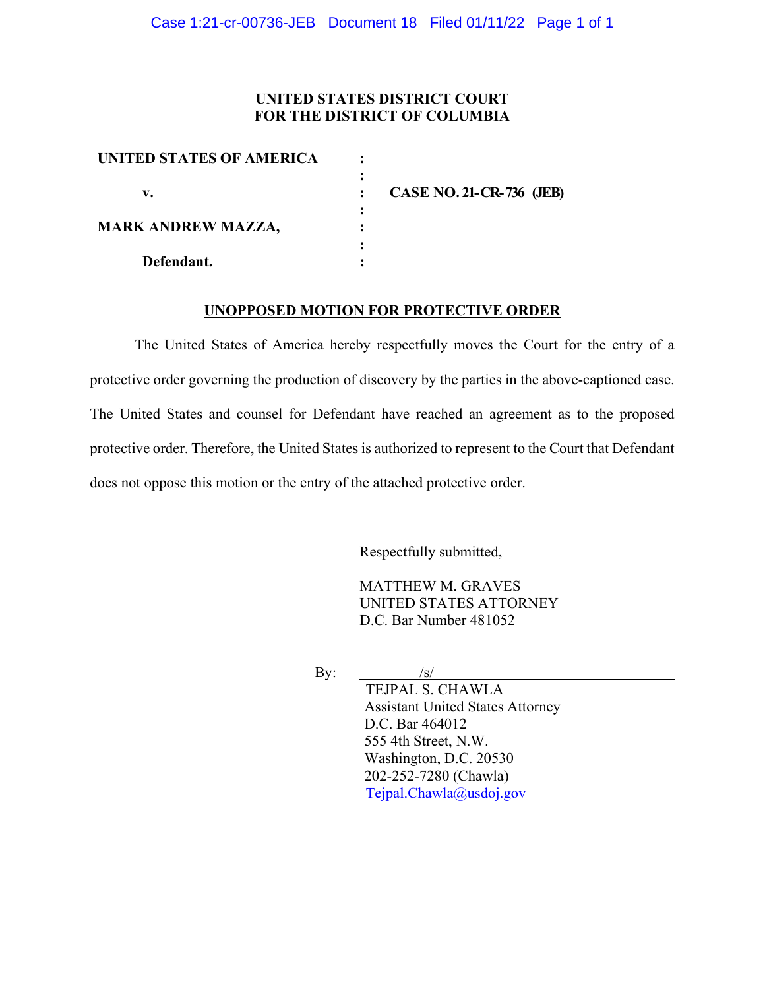### **UNITED STATES DISTRICT COURT FOR THE DISTRICT OF COLUMBIA**

| <b>UNITED STATES OF AMERICA</b> |                                 |
|---------------------------------|---------------------------------|
|                                 |                                 |
| v.                              | <b>CASE NO. 21-CR-736 (JEB)</b> |
|                                 |                                 |
| <b>MARK ANDREW MAZZA,</b>       |                                 |
|                                 |                                 |
| Defendant.                      |                                 |

#### **UNOPPOSED MOTION FOR PROTECTIVE ORDER**

The United States of America hereby respectfully moves the Court for the entry of a protective order governing the production of discovery by the parties in the above-captioned case. The United States and counsel for Defendant have reached an agreement as to the proposed protective order. Therefore, the United States is authorized to represent to the Court that Defendant does not oppose this motion or the entry of the attached protective order.

Respectfully submitted,

MATTHEW M. GRAVES UNITED STATES ATTORNEY D.C. Bar Number 481052

By:  $/s/$ 

TEJPAL S. CHAWLA Assistant United States Attorney D.C. Bar 464012 555 4th Street, N.W. Washington, D.C. 20530 202-252-7280 (Chawla) Tejpal.Chawla@usdoj.gov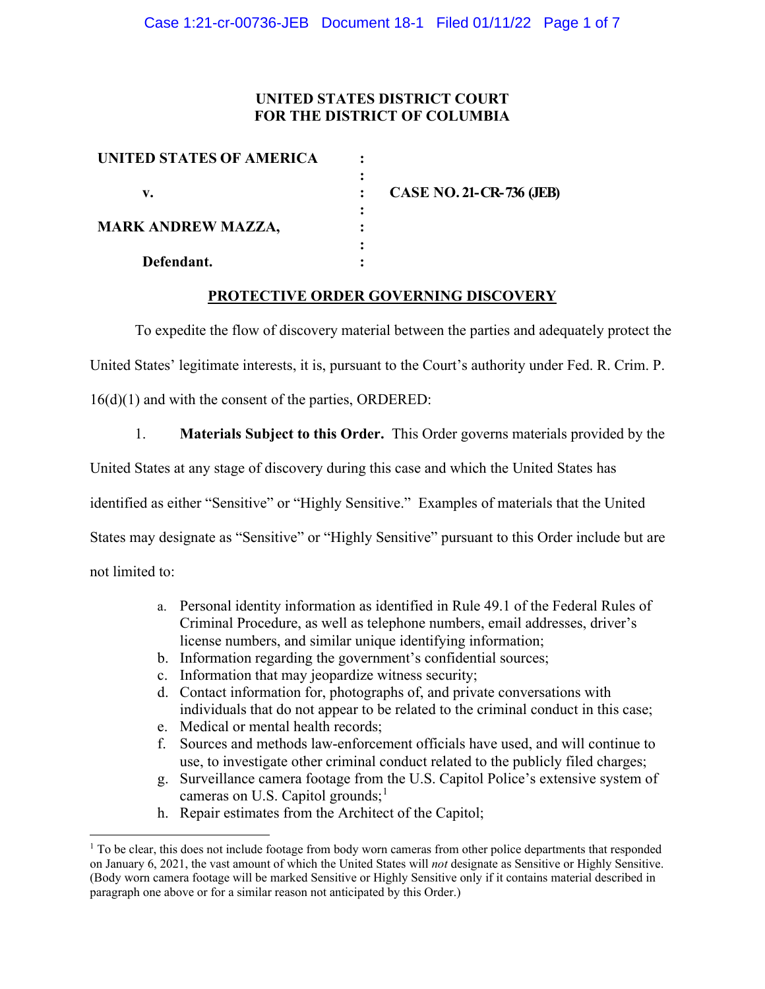### **UNITED STATES DISTRICT COURT FOR THE DISTRICT OF COLUMBIA**

| UNITED STATES OF AMERICA  |                                 |
|---------------------------|---------------------------------|
|                           |                                 |
| v.                        | <b>CASE NO. 21-CR-736 (JEB)</b> |
|                           |                                 |
| <b>MARK ANDREW MAZZA,</b> |                                 |
|                           |                                 |
| Defendant.                |                                 |

### **PROTECTIVE ORDER GOVERNING DISCOVERY**

To expedite the flow of discovery material between the parties and adequately protect the

United States' legitimate interests, it is, pursuant to the Court's authority under Fed. R. Crim. P.

16(d)(1) and with the consent of the parties, ORDERED:

1. **Materials Subject to this Order.** This Order governs materials provided by the

United States at any stage of discovery during this case and which the United States has

identified as either "Sensitive" or "Highly Sensitive." Examples of materials that the United

States may designate as "Sensitive" or "Highly Sensitive" pursuant to this Order include but are

not limited to:

- a. Personal identity information as identified in Rule 49.1 of the Federal Rules of Criminal Procedure, as well as telephone numbers, email addresses, driver's license numbers, and similar unique identifying information;
- b. Information regarding the government's confidential sources;
- c. Information that may jeopardize witness security;
- d. Contact information for, photographs of, and private conversations with individuals that do not appear to be related to the criminal conduct in this case;
- e. Medical or mental health records;
- f. Sources and methods law-enforcement officials have used, and will continue to use, to investigate other criminal conduct related to the publicly filed charges;
- g. Surveillance camera footage from the U.S. Capitol Police's extensive system of cameras on U.S. Capitol grounds;<sup>1</sup>
- h. Repair estimates from the Architect of the Capitol;

<sup>&</sup>lt;sup>1</sup> To be clear, this does not include footage from body worn cameras from other police departments that responded on January 6, 2021, the vast amount of which the United States will *not* designate as Sensitive or Highly Sensitive. (Body worn camera footage will be marked Sensitive or Highly Sensitive only if it contains material described in paragraph one above or for a similar reason not anticipated by this Order.)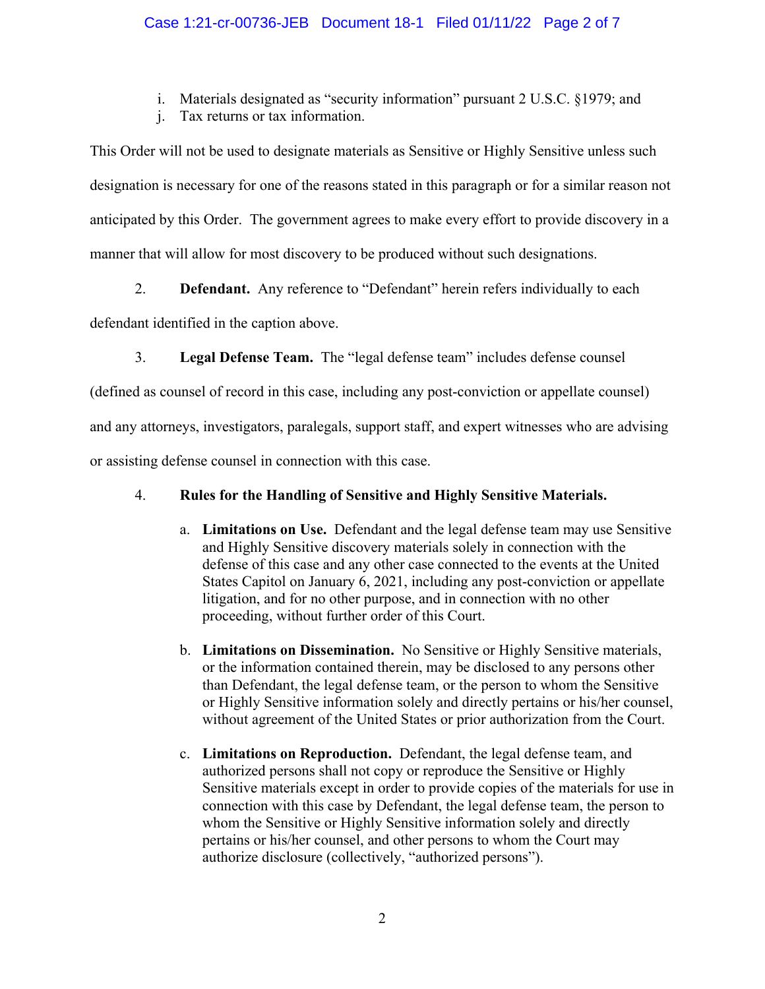i. Materials designated as "security information" pursuant 2 U.S.C. §1979; and

j. Tax returns or tax information.

This Order will not be used to designate materials as Sensitive or Highly Sensitive unless such designation is necessary for one of the reasons stated in this paragraph or for a similar reason not anticipated by this Order. The government agrees to make every effort to provide discovery in a manner that will allow for most discovery to be produced without such designations.

2. **Defendant.** Any reference to "Defendant" herein refers individually to each

defendant identified in the caption above.

3. **Legal Defense Team.** The "legal defense team" includes defense counsel

(defined as counsel of record in this case, including any post-conviction or appellate counsel)

and any attorneys, investigators, paralegals, support staff, and expert witnesses who are advising

or assisting defense counsel in connection with this case.

## 4. **Rules for the Handling of Sensitive and Highly Sensitive Materials.**

- a. **Limitations on Use.** Defendant and the legal defense team may use Sensitive and Highly Sensitive discovery materials solely in connection with the defense of this case and any other case connected to the events at the United States Capitol on January 6, 2021, including any post-conviction or appellate litigation, and for no other purpose, and in connection with no other proceeding, without further order of this Court.
- b. **Limitations on Dissemination.** No Sensitive or Highly Sensitive materials, or the information contained therein, may be disclosed to any persons other than Defendant, the legal defense team, or the person to whom the Sensitive or Highly Sensitive information solely and directly pertains or his/her counsel, without agreement of the United States or prior authorization from the Court.
- c. **Limitations on Reproduction.** Defendant, the legal defense team, and authorized persons shall not copy or reproduce the Sensitive or Highly Sensitive materials except in order to provide copies of the materials for use in connection with this case by Defendant, the legal defense team, the person to whom the Sensitive or Highly Sensitive information solely and directly pertains or his/her counsel, and other persons to whom the Court may authorize disclosure (collectively, "authorized persons").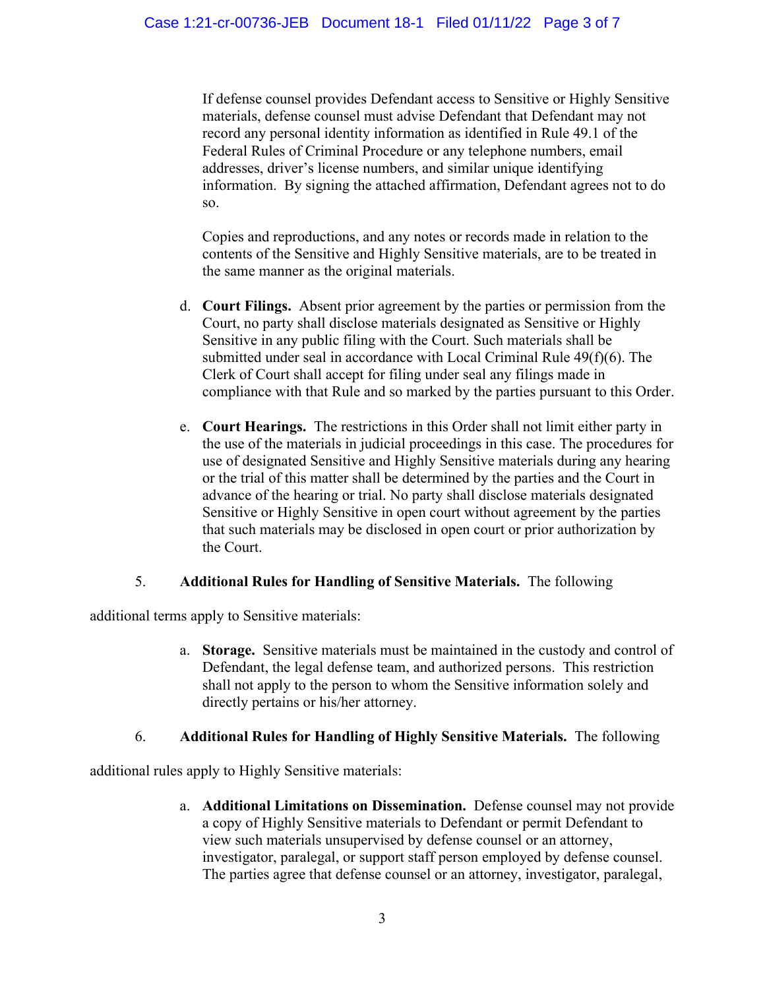If defense counsel provides Defendant access to Sensitive or Highly Sensitive materials, defense counsel must advise Defendant that Defendant may not record any personal identity information as identified in Rule 49.1 of the Federal Rules of Criminal Procedure or any telephone numbers, email addresses, driver's license numbers, and similar unique identifying information. By signing the attached affirmation, Defendant agrees not to do so.

Copies and reproductions, and any notes or records made in relation to the contents of the Sensitive and Highly Sensitive materials, are to be treated in the same manner as the original materials.

- d. **Court Filings.** Absent prior agreement by the parties or permission from the Court, no party shall disclose materials designated as Sensitive or Highly Sensitive in any public filing with the Court. Such materials shall be submitted under seal in accordance with Local Criminal Rule 49(f)(6). The Clerk of Court shall accept for filing under seal any filings made in compliance with that Rule and so marked by the parties pursuant to this Order.
- e. **Court Hearings.** The restrictions in this Order shall not limit either party in the use of the materials in judicial proceedings in this case. The procedures for use of designated Sensitive and Highly Sensitive materials during any hearing or the trial of this matter shall be determined by the parties and the Court in advance of the hearing or trial. No party shall disclose materials designated Sensitive or Highly Sensitive in open court without agreement by the parties that such materials may be disclosed in open court or prior authorization by the Court.

## 5. **Additional Rules for Handling of Sensitive Materials.** The following

additional terms apply to Sensitive materials:

a. **Storage.** Sensitive materials must be maintained in the custody and control of Defendant, the legal defense team, and authorized persons. This restriction shall not apply to the person to whom the Sensitive information solely and directly pertains or his/her attorney.

## 6. **Additional Rules for Handling of Highly Sensitive Materials.** The following

additional rules apply to Highly Sensitive materials:

a. **Additional Limitations on Dissemination.** Defense counsel may not provide a copy of Highly Sensitive materials to Defendant or permit Defendant to view such materials unsupervised by defense counsel or an attorney, investigator, paralegal, or support staff person employed by defense counsel. The parties agree that defense counsel or an attorney, investigator, paralegal,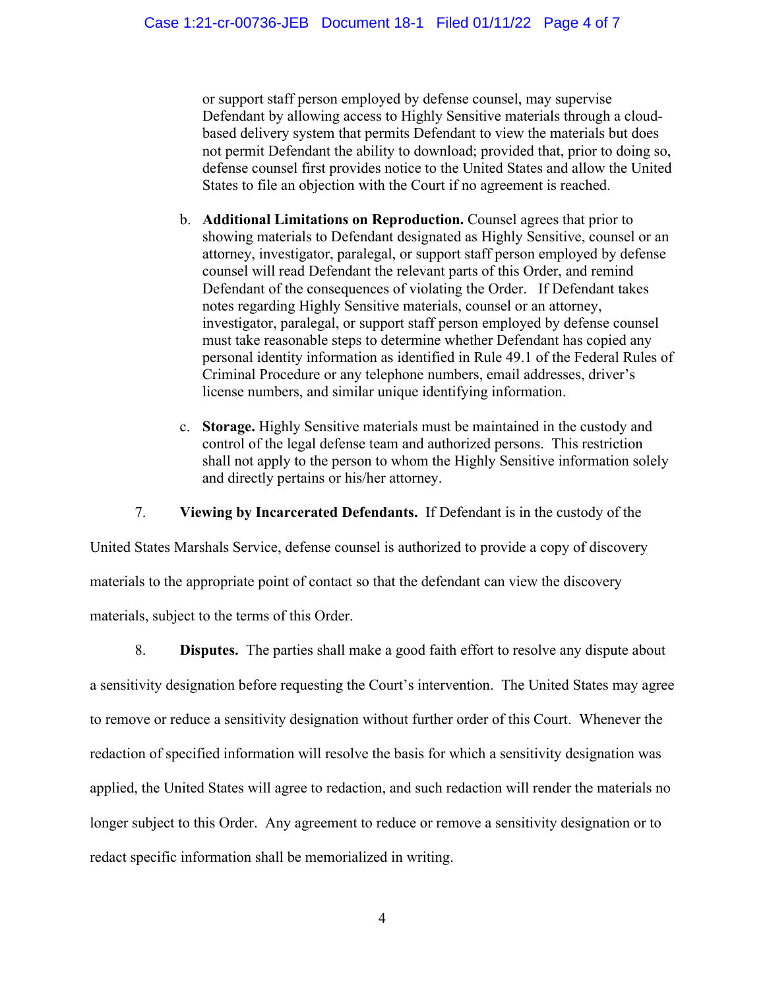or support staff person employed by defense counsel, may supervise Defendant by allowing access to Highly Sensitive materials through a cloudbased delivery system that permits Defendant to view the materials but does not permit Defendant the ability to download; provided that, prior to doing so, defense counsel first provides notice to the United States and allow the United States to file an objection with the Court if no agreement is reached.

- b. **Additional Limitations on Reproduction.** Counsel agrees that prior to showing materials to Defendant designated as Highly Sensitive, counsel or an attorney, investigator, paralegal, or support staff person employed by defense counsel will read Defendant the relevant parts of this Order, and remind Defendant of the consequences of violating the Order. If Defendant takes notes regarding Highly Sensitive materials, counsel or an attorney, investigator, paralegal, or support staff person employed by defense counsel must take reasonable steps to determine whether Defendant has copied any personal identity information as identified in Rule 49.1 of the Federal Rules of Criminal Procedure or any telephone numbers, email addresses, driver's license numbers, and similar unique identifying information.
- c. **Storage.** Highly Sensitive materials must be maintained in the custody and control of the legal defense team and authorized persons. This restriction shall not apply to the person to whom the Highly Sensitive information solely and directly pertains or his/her attorney.

7. **Viewing by Incarcerated Defendants.** If Defendant is in the custody of the

United States Marshals Service, defense counsel is authorized to provide a copy of discovery materials to the appropriate point of contact so that the defendant can view the discovery materials, subject to the terms of this Order.

8. **Disputes.** The parties shall make a good faith effort to resolve any dispute about a sensitivity designation before requesting the Court's intervention. The United States may agree to remove or reduce a sensitivity designation without further order of this Court. Whenever the redaction of specified information will resolve the basis for which a sensitivity designation was applied, the United States will agree to redaction, and such redaction will render the materials no longer subject to this Order. Any agreement to reduce or remove a sensitivity designation or to redact specific information shall be memorialized in writing.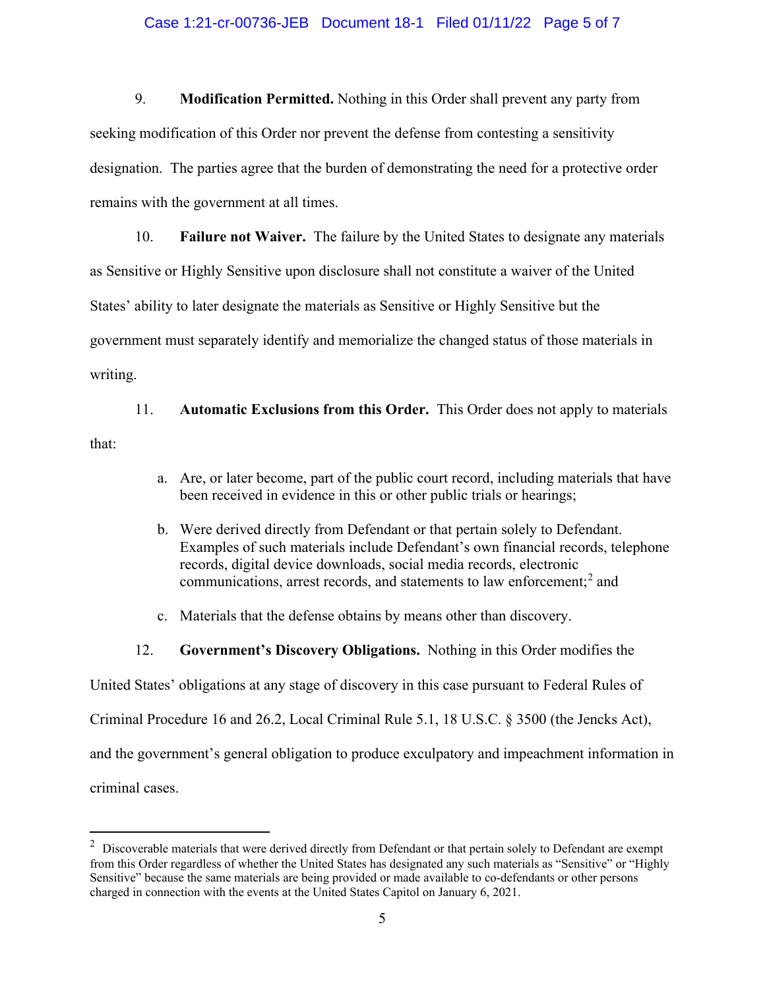#### Case 1:21-cr-00736-JEB Document 18-1 Filed 01/11/22 Page 5 of 7

9. **Modification Permitted.** Nothing in this Order shall prevent any party from seeking modification of this Order nor prevent the defense from contesting a sensitivity designation. The parties agree that the burden of demonstrating the need for a protective order remains with the government at all times.

10. **Failure not Waiver.** The failure by the United States to designate any materials as Sensitive or Highly Sensitive upon disclosure shall not constitute a waiver of the United States' ability to later designate the materials as Sensitive or Highly Sensitive but the government must separately identify and memorialize the changed status of those materials in writing.

11. **Automatic Exclusions from this Order.** This Order does not apply to materials that:

- a. Are, or later become, part of the public court record, including materials that have been received in evidence in this or other public trials or hearings;
- b. Were derived directly from Defendant or that pertain solely to Defendant. Examples of such materials include Defendant's own financial records, telephone records, digital device downloads, social media records, electronic communications, arrest records, and statements to law enforcement; <sup>2</sup> and
- c. Materials that the defense obtains by means other than discovery.
- 12. **Government's Discovery Obligations.** Nothing in this Order modifies the

United States' obligations at any stage of discovery in this case pursuant to Federal Rules of

Criminal Procedure 16 and 26.2, Local Criminal Rule 5.1, 18 U.S.C. § 3500 (the Jencks Act),

and the government's general obligation to produce exculpatory and impeachment information in

criminal cases.

 $2$  Discoverable materials that were derived directly from Defendant or that pertain solely to Defendant are exempt from this Order regardless of whether the United States has designated any such materials as "Sensitive" or "Highly Sensitive" because the same materials are being provided or made available to co-defendants or other persons charged in connection with the events at the United States Capitol on January 6, 2021.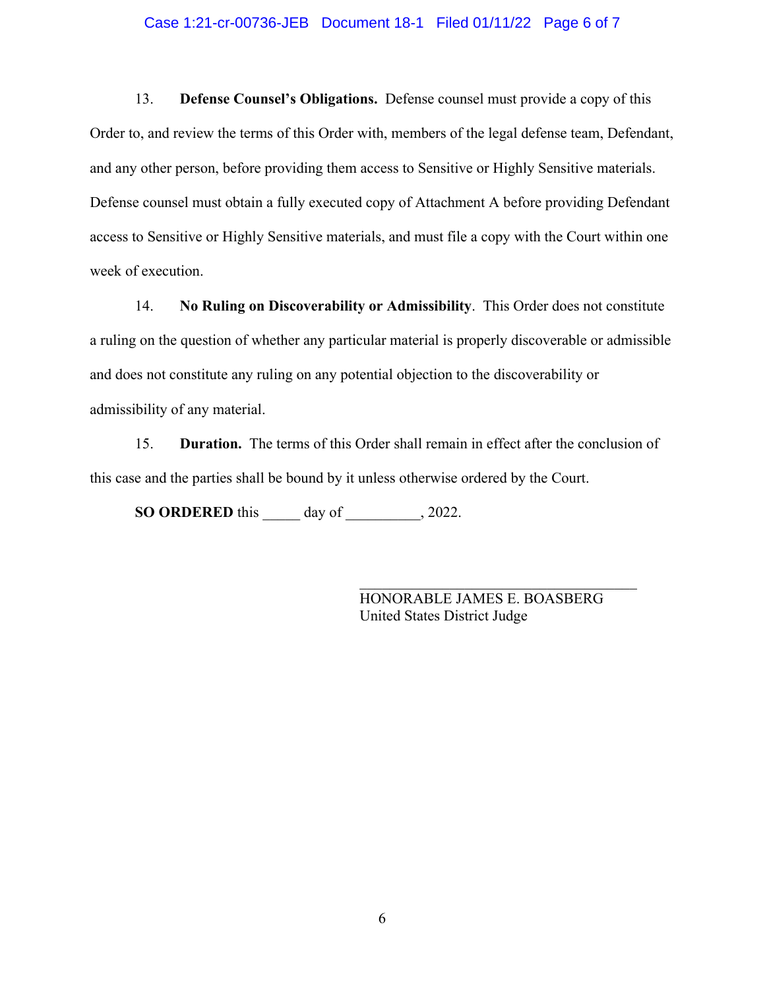#### Case 1:21-cr-00736-JEB Document 18-1 Filed 01/11/22 Page 6 of 7

13. **Defense Counsel's Obligations.** Defense counsel must provide a copy of this Order to, and review the terms of this Order with, members of the legal defense team, Defendant, and any other person, before providing them access to Sensitive or Highly Sensitive materials. Defense counsel must obtain a fully executed copy of Attachment A before providing Defendant access to Sensitive or Highly Sensitive materials, and must file a copy with the Court within one week of execution.

14. **No Ruling on Discoverability or Admissibility**. This Order does not constitute a ruling on the question of whether any particular material is properly discoverable or admissible and does not constitute any ruling on any potential objection to the discoverability or admissibility of any material.

15. **Duration.** The terms of this Order shall remain in effect after the conclusion of this case and the parties shall be bound by it unless otherwise ordered by the Court.

**SO ORDERED** this \_\_\_\_\_ day of \_\_\_\_\_\_\_\_\_\_, 2022.

HONORABLE JAMES E. BOASBERG United States District Judge

\_\_\_\_\_\_\_\_\_\_\_\_\_\_\_\_\_\_\_\_\_\_\_\_\_\_\_\_\_\_\_\_\_\_\_\_\_